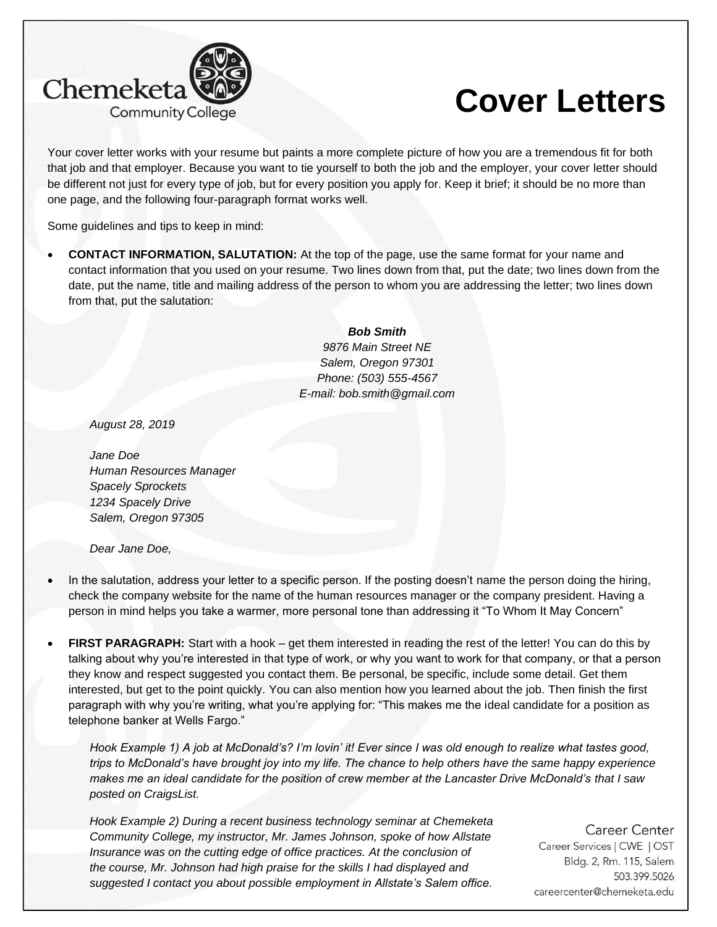

## **Cover Letters**

Your cover letter works with your resume but paints a more complete picture of how you are a tremendous fit for both that job and that employer. Because you want to tie yourself to both the job and the employer, your cover letter should be different not just for every type of job, but for every position you apply for. Keep it brief; it should be no more than one page, and the following four-paragraph format works well.

Some guidelines and tips to keep in mind:

• **CONTACT INFORMATION, SALUTATION:** At the top of the page, use the same format for your name and contact information that you used on your resume. Two lines down from that, put the date; two lines down from the date, put the name, title and mailing address of the person to whom you are addressing the letter; two lines down from that, put the salutation:

> *Bob Smith 9876 Main Street NE Salem, Oregon 97301 Phone: (503) 555-4567 E-mail: bob.smith@gmail.com*

*August 28, 2019*

*Jane Doe Human Resources Manager Spacely Sprockets 1234 Spacely Drive Salem, Oregon 97305*

*Dear Jane Doe,*

- In the salutation, address your letter to a specific person. If the posting doesn't name the person doing the hiring, check the company website for the name of the human resources manager or the company president. Having a person in mind helps you take a warmer, more personal tone than addressing it "To Whom It May Concern"
- **FIRST PARAGRAPH:** Start with a hook get them interested in reading the rest of the letter! You can do this by talking about why you're interested in that type of work, or why you want to work for that company, or that a person they know and respect suggested you contact them. Be personal, be specific, include some detail. Get them interested, but get to the point quickly. You can also mention how you learned about the job. Then finish the first paragraph with why you're writing, what you're applying for: "This makes me the ideal candidate for a position as telephone banker at Wells Fargo."

*Hook Example 1) A job at McDonald's? I'm lovin' it! Ever since I was old enough to realize what tastes good, trips to McDonald's have brought joy into my life. The chance to help others have the same happy experience makes me an ideal candidate for the position of crew member at the Lancaster Drive McDonald's that I saw posted on CraigsList.*

*Hook Example 2) During a recent business technology seminar at Chemeketa Community College, my instructor, Mr. James Johnson, spoke of how Allstate Insurance was on the cutting edge of office practices. At the conclusion of the course, Mr. Johnson had high praise for the skills I had displayed and suggested I contact you about possible employment in Allstate's Salem office.*

Career Center Career Services | CWE | OST Bldg. 2, Rm. 115, Salem 503.399.5026 careercenter@chemeketa.edu